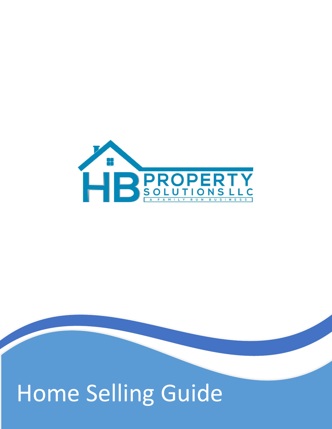

#### **HB Property Solutions, LLC 734 W Broadway, Suite 174, Fulton, NY, 13069 (315) 887-4300** Home Selling Guide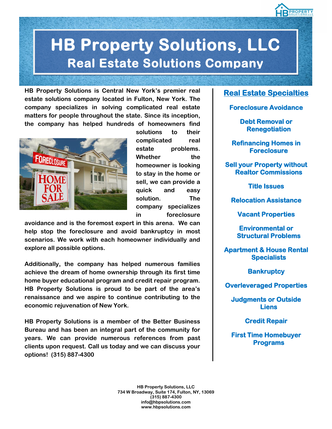

# **HB Property Solutions, LLC Real Estate Solutions Company**

**HB Property Solutions is Central New York's premier real estate solutions company located in Fulton, New York. The company specializes in solving complicated real estate matters for people throughout the state. Since its inception, the company has helped hundreds of homeowners find** 



**第一章 有限** 

*<b>* 

**solutions to their complicated real estate problems. Whether** the **homeowner is looking to stay in the home or sell, we can provide a quick and easy solution. The company specializes in foreclosure** 

**avoidance and is the foremost expert in this arena. We can help stop the foreclosure and avoid bankruptcy in most scenarios. We work with each homeowner individually and explore all possible options.** 

**Additionally, the company has helped numerous families achieve the dream of home ownership through its first time home buyer educational program and credit repair program. HB Property Solutions is proud to be part of the area's renaissance and we aspire to continue contributing to the economic rejuvenation of New York.**

**HB Property Solutions is a member of the Better Business Bureau and has been an integral part of the community for years. We can provide numerous references from past clients upon request. Call us today and we can discuss your options! (315) 887-4300**

# **Real Estate Specialties**

**Foreclosure Avoidance** 

**Debt Removal or Renegotiation** 

**Refinancing Homes in Foreclosure** 

**Sell your Property without Realtor Commissions** 

**Title Issues** 

**Relocation Assistance** 

**Vacant Properties** 

**Environmental or Structural Problems** 

**Apartment & House Rental Specialists** 

**Bankruptcy** 

**Overleveraged Properties** 

**Judgments or Outside Liens** 

**Credit Repair** 

**First Time Homebuyer Programs**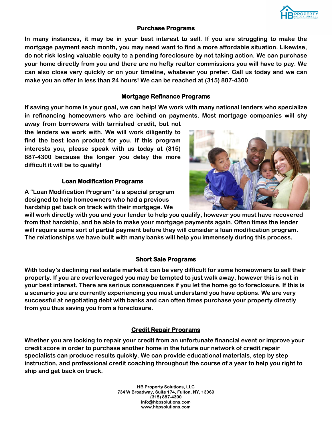

# **Purchase Programs**

**In many instances, it may be in your best interest to sell. If you are struggling to make the mortgage payment each month, you may need want to find a more affordable situation. Likewise, do not risk losing valuable equity to a pending foreclosure by not taking action. We can purchase your home directly from you and there are no hefty realtor commissions you will have to pay. We can also close very quickly or on your timeline, whatever you prefer. Call us today and we can make you an offer in less than 24 hours! We can be reached at (315) 887-4300**

### **Mortgage Refinance Programs**

**If saving your home is your goal, we can help! We work with many national lenders who specialize in refinancing homeowners who are behind on payments. Most mortgage companies will shy** 

**away from borrowers with tarnished credit, but not the lenders we work with. We will work diligently to find the best loan product for you. If this program interests you, please speak with us today at (315) 887-4300 because the longer you delay the more difficult it will be to qualify!**

### **Loan Modification Programs**

**A "Loan Modification Program" is a special program designed to help homeowners who had a previous hardship get back on track with their mortgage. We** 

**will work directly with you and your lender to help you qualify, however you must have recovered from that hardship, and be able to make your mortgage payments again. Often times the lender will require some sort of partial payment before they will consider a loan modification program. The relationships we have built with many banks will help you immensely during this process.** 

### **Short Sale Programs**

**With today's declining real estate market it can be very difficult for some homeowners to sell their property. If you are overleveraged you may be tempted to just walk away, however this is not in your best interest. There are serious consequences if you let the home go to foreclosure. If this is a scenario you are currently experiencing you must understand you have options. We are very successful at negotiating debt with banks and can often times purchase your property directly from you thus saving you from a foreclosure.** 

### **Credit Repair Programs**

**Whether you are looking to repair your credit from an unfortunate financial event or improve your credit score in order to purchase another home in the future our network of credit repair specialists can produce results quickly. We can provide educational materials, step by step instruction, and professional credit coaching throughout the course of a year to help you right to ship and get back on track.**

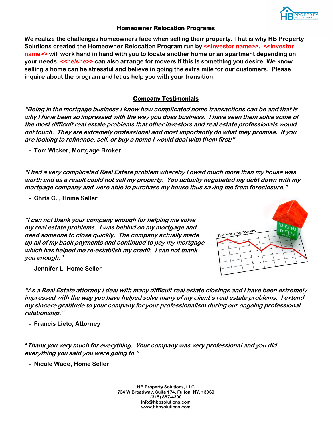

## **Homeowner Relocation Programs**

**We realize the challenges homeowners face when selling their property. That is why HB Property Solutions created the Homeowner Relocation Program run by <<investor name>>. <<investor name>> will work hand in hand with you to locate another home or an apartment depending on**  your needs. <<he/she>> can also arrange for movers if this is something you desire. We know **selling a home can be stressful and believe in going the extra mile for our customers. Please inquire about the program and let us help you with your transition.**

## **Company Testimonials**

**"Being in the mortgage business I know how complicated home transactions can be and that is why I have been so impressed with the way you does business. I have seen them solve some of the most difficult real estate problems that other investors and real estate professionals would not touch. They are extremely professional and most importantly do what they promise. If you are looking to refinance, sell, or buy a home I would deal with them first!"** 

 **- Tom Wicker, Mortgage Broker** 

**"I had a very complicated Real Estate problem whereby I owed much more than my house was worth and as a result could not sell my property. You actually negotiated my debt down with my mortgage company and were able to purchase my house thus saving me from foreclosure."** 

 **- Chris C. , Home Seller**

**"I can not thank your company enough for helping me solve my real estate problems. I was behind on my mortgage and need someone to close quickly. The company actually made up all of my back payments and continued to pay my mortgage which has helped me re-establish my credit. I can not thank you enough."**

 **- Jennifer L. Home Seller**



**"As a Real Estate attorney I deal with many difficult real estate closings and I have been extremely impressed with the way you have helped solve many of my client's real estate problems. I extend my sincere gratitude to your company for your professionalism during our ongoing professional relationship."**

 **- Francis Lieto, Attorney**

**"Thank you very much for everything. Your company was very professional and you did everything you said you were going to."**

 **- Nicole Wade, Home Seller**